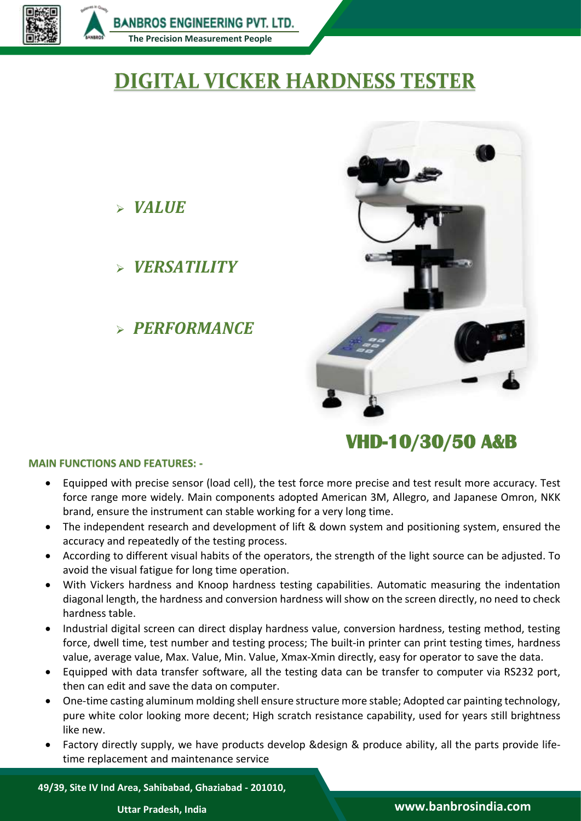

*VALUE*

*VERSATILITY*

*PERFORMANCE*

# **DIGITAL VICKER HARDNESS TESTER**



# **VHD-10/30/50 A&B**

### **MAIN FUNCTIONS AND FEATURES: -**

- Equipped with precise sensor (load cell), the test force more precise and test result more accuracy. Test force range more widely. Main components adopted American 3M, Allegro, and Japanese Omron, NKK brand, ensure the instrument can stable working for a very long time.
- The independent research and development of lift & down system and positioning system, ensured the accuracy and repeatedly of the testing process.
- According to different visual habits of the operators, the strength of the light source can be adjusted. To avoid the visual fatigue for long time operation.
- With Vickers hardness and Knoop hardness testing capabilities. Automatic measuring the indentation diagonal length, the hardness and conversion hardness will show on the screen directly, no need to check hardness table.
- Industrial digital screen can direct display hardness value, conversion hardness, testing method, testing force, dwell time, test number and testing process; The built-in printer can print testing times, hardness value, average value, Max. Value, Min. Value, Xmax-Xmin directly, easy for operator to save the data.
- Equipped with data transfer software, all the testing data can be transfer to computer via RS232 port, then can edit and save the data on computer.
- One-time casting aluminum molding shell ensure structure more stable; Adopted car painting technology, pure white color looking more decent; High scratch resistance capability, used for years still brightness like new.
- Factory directly supply, we have products develop &design & produce ability, all the parts provide lifetime replacement and maintenance service

**49/39, Site IV Ind Area, Sahibabad, Ghaziabad - 201010,**

# **Uttar Pradesh, India www.banbrosindia.com**